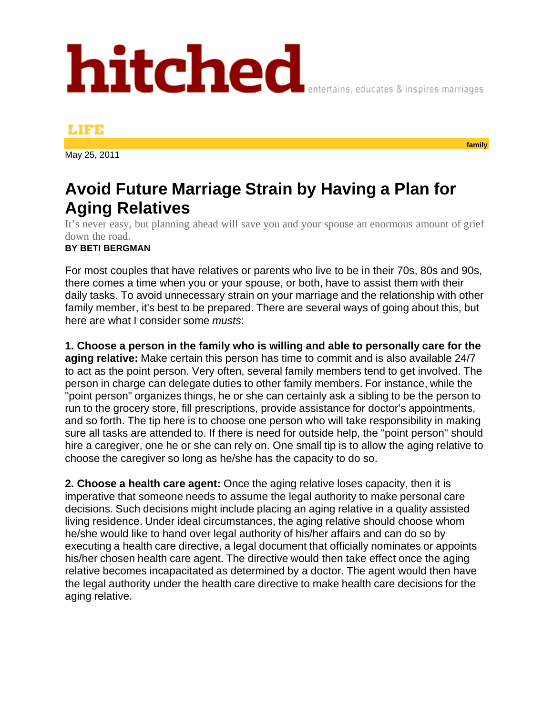## hitched

## мез

May 25, 2011

## **Avoid Future Marriage Strain by Having a Plan for Aging Relatives**

It's never easy, but planning ahead will save you and your spouse an enormous amount of grief down the road.

## **BY BETI BERGMAN**

For most couples that have relatives or parents who live to be in their 70s, 80s and 90s, there comes a time when you or your spouse, or both, have to assist them with their daily tasks. To avoid unnecessary strain on your marriage and the relationship with other family member, it's best to be prepared. There are several ways of going about this, but here are what I consider some *musts*:

**1. Choose a person in the family who is willing and able to personally care for the aging relative:** Make certain this person has time to commit and is also available 24/7 to act as the point person. Very often, several family members tend to get involved. The person in charge can delegate duties to other family members. For instance, while the "point person" organizes things, he or she can certainly ask a sibling to be the person to run to the grocery store, fill prescriptions, provide assistance for doctor's appointments, and so forth. The tip here is to choose one person who will take responsibility in making sure all tasks are attended to. If there is need for outside help, the "point person" should hire a caregiver, one he or she can rely on. One small tip is to allow the aging relative to choose the caregiver so long as he/she has the capacity to do so.

**2. Choose a health care agent:** Once the aging relative loses capacity, then it is imperative that someone needs to assume the legal authority to make personal care decisions. Such decisions might include placing an aging relative in a quality assisted living residence. Under ideal circumstances, the aging relative should choose whom he/she would like to hand over legal authority of his/her affairs and can do so by executing a health care directive, a legal document that officially nominates or appoints his/her chosen health care agent. The directive would then take effect once the aging relative becomes incapacitated as determined by a doctor. The agent would then have the legal authority under the health care directive to make health care decisions for the aging relative.

**family** 

entertains, educates & inspires marriages